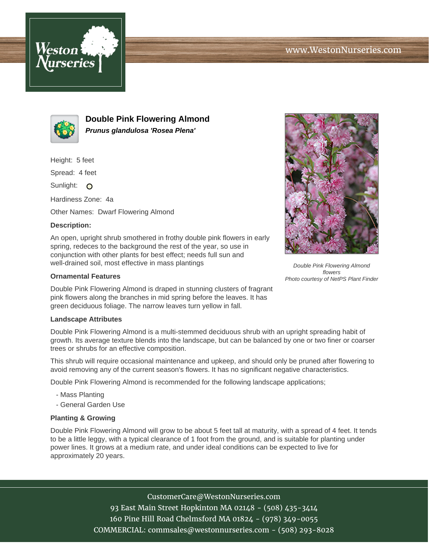



**Double Pink Flowering Almond Prunus glandulosa 'Rosea Plena'**

Height: 5 feet

Spread: 4 feet

Sunlight: O

Hardiness Zone: 4a

Other Names: Dwarf Flowering Almond

## **Description:**

An open, upright shrub smothered in frothy double pink flowers in early spring, redeces to the background the rest of the year, so use in conjunction with other plants for best effect; needs full sun and well-drained soil, most effective in mass plantings

## **Ornamental Features**

Double Pink Flowering Almond is draped in stunning clusters of fragrant pink flowers along the branches in mid spring before the leaves. It has green deciduous foliage. The narrow leaves turn yellow in fall.

## **Landscape Attributes**

Double Pink Flowering Almond is a multi-stemmed deciduous shrub with an upright spreading habit of growth. Its average texture blends into the landscape, but can be balanced by one or two finer or coarser trees or shrubs for an effective composition.

This shrub will require occasional maintenance and upkeep, and should only be pruned after flowering to avoid removing any of the current season's flowers. It has no significant negative characteristics.

Double Pink Flowering Almond is recommended for the following landscape applications;

- Mass Planting
- General Garden Use

## **Planting & Growing**

Double Pink Flowering Almond will grow to be about 5 feet tall at maturity, with a spread of 4 feet. It tends to be a little leggy, with a typical clearance of 1 foot from the ground, and is suitable for planting under power lines. It grows at a medium rate, and under ideal conditions can be expected to live for approximately 20 years.

CustomerCare@WestonNurseries.com

93 East Main Street Hopkinton MA 02148 - (508) 435-3414 160 Pine Hill Road Chelmsford MA 01824 - (978) 349-0055 COMMERCIAL: commsales@westonnurseries.com - (508) 293-8028



Double Pink Flowering Almond flowers Photo courtesy of NetPS Plant Finder